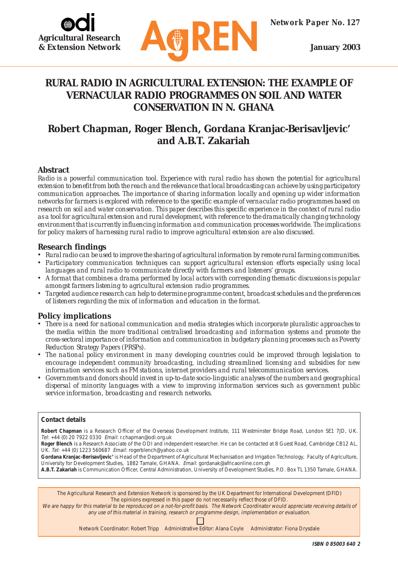



## **RURAL RADIO IN AGRICULTURAL EXTENSION: THE EXAMPLE OF VERNACULAR RADIO PROGRAMMES ON SOIL AND WATER CONSERVATION IN N. GHANA**

# **Robert Chapman, Roger Blench, Gordana Kranjac-Berisavljevic' and A.B.T. Zakariah**

## **Abstract**

*Radio is a powerful communication tool. Experience with rural radio has shown the potential for agricultural extension to benefit from both the reach and the relevance that local broadcasting can achieve by using participatory communication approaches. The importance of sharing information locally and opening up wider information networks for farmers is explored with reference to the specific example of vernacular radio programmes based on research on soil and water conservation. This paper describes this specific experience in the context of rural radio as a tool for agricultural extension and rural development, with reference to the dramatically changing technology environment that is currently influencing information and communication processes worldwide. The implications for policy makers of harnessing rural radio to improve agricultural extension are also discussed.*

## **Research findings**

- *• Rural radio can be used to improve the sharing of agricultural information by remote rural farming communities.*
- *• Participatory communication techniques can support agricultural extension efforts especially using local languages and rural radio to communicate directly with farmers and listeners' groups.*
- *• A format that combines a drama performed by local actors with corresponding thematic discussions is popular amongst farmers listening to agricultural extension radio programmes.*
- *• Targeted audience research can help to determine programme content, broadcast schedules and the preferences of listeners regarding the mix of information and education in the format.*

## **Policy implications**

- *• There is a need for national communication and media strategies which incorporate pluralistic approaches to the media within the more traditional centralised broadcasting and information systems and promote the cross-sectoral importance of information and communication in budgetary planning processes such as Poverty Reduction Strategy Papers (PRSPs).*
- *• The national policy environment in many developing countries could be improved through legislation to encourage independent community broadcasting, including streamlined licensing and subsidies for new information services such as FM stations, internet providers and rural telecommunication services.*
- *• Governments and donors should invest in up-to-date socio-linguistic analyses of the numbers and geographical dispersal of minority languages with a view to improving information services such as government public service information, broadcasting and research networks.*

#### **Contact details**

**Robert Chapman** is a Research Officer of the Overseas Development Institute, 111 Westminster Bridge Road, London SE1 7JD, UK. Tel: +44 (0) 20 7922 0330 Email: r.chapman@odi.org.uk

**Roger Blench** is a Research Associate of the ODI and independent researcher. He can be contacted at 8 Guest Road, Cambridge CB12 AL, UK. Tel: +44 (0) 1223 560687 Email: rogerblench@yahoo.co.uk

**Gordana Kranjac-Berisavljevic'** is Head of the Department of Agricultural Mechanisation and Irrigation Technology, Faculty of Agriculture, University for Development Studies, 1882 Tamale, GHANA. Email: gordanak@africaonline.com.gh

**A.B.T. Zakariah** is Communication Officer, Central Administration, University of Development Studies, P.O. Box TL 1350 Tamale, GHANA.

The Agricultural Research and Extension Network is sponsored by the UK Department for International Development (DFID) The opinions expressed in this paper do not necessarily reflect those of DFID.

We are happy for this material to be reproduced on a not-for-profit basis. The Network Coordinator would appreciate receiving details of any use of this material in training, research or programme design, implementation or evaluation.

Network Coordinator: Robert Tripp Administrative Editor: Alana Coyle Administrator: Fiona Drysdale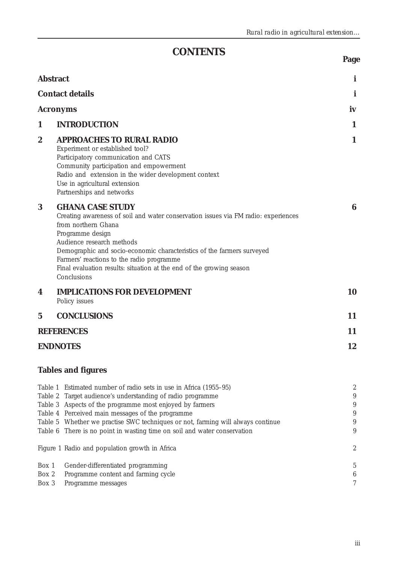**Page**

# **CONTENTS**

| <b>Abstract</b>         |                                                                                                                                                                                                                                                                                                                                                                                                     | i                                                                       |
|-------------------------|-----------------------------------------------------------------------------------------------------------------------------------------------------------------------------------------------------------------------------------------------------------------------------------------------------------------------------------------------------------------------------------------------------|-------------------------------------------------------------------------|
|                         | <b>Contact details</b>                                                                                                                                                                                                                                                                                                                                                                              |                                                                         |
| <b>Acronyms</b>         |                                                                                                                                                                                                                                                                                                                                                                                                     | iv                                                                      |
| 1                       | <b>INTRODUCTION</b>                                                                                                                                                                                                                                                                                                                                                                                 | 1                                                                       |
| $\boldsymbol{2}$        | <b>APPROACHES TO RURAL RADIO</b><br>Experiment or established tool?<br>Participatory communication and CATS<br>Community participation and empowerment<br>Radio and extension in the wider development context<br>Use in agricultural extension<br>Partnerships and networks                                                                                                                        | 1                                                                       |
| $\bf{3}$                | <b>GHANA CASE STUDY</b><br>Creating awareness of soil and water conservation issues via FM radio: experiences<br>from northern Ghana<br>Programme design<br>Audience research methods<br>Demographic and socio-economic characteristics of the farmers surveyed<br>Farmers' reactions to the radio programme<br>Final evaluation results: situation at the end of the growing season<br>Conclusions | 6                                                                       |
| 4                       | <b>IMPLICATIONS FOR DEVELOPMENT</b><br>Policy issues                                                                                                                                                                                                                                                                                                                                                | 10                                                                      |
| $\mathbf 5$             | <b>CONCLUSIONS</b>                                                                                                                                                                                                                                                                                                                                                                                  | 11                                                                      |
|                         | <b>REFERENCES</b>                                                                                                                                                                                                                                                                                                                                                                                   | 11                                                                      |
|                         | <b>ENDNOTES</b>                                                                                                                                                                                                                                                                                                                                                                                     | 12                                                                      |
|                         | <b>Tables and figures</b>                                                                                                                                                                                                                                                                                                                                                                           |                                                                         |
| Table 1<br>Table 2      | Estimated number of radio sets in use in Africa (1955–95)<br>Target audience's understanding of radio programme<br>Table 3 Aspects of the programme most enjoyed by farmers<br>Table 4 Perceived main messages of the programme<br>Table 5 Whether we practise SWC techniques or not, farming will always continue<br>Table 6 There is no point in wasting time on soil and water conservation      | $\boldsymbol{2}$<br>$\boldsymbol{9}$<br>9<br>$\boldsymbol{9}$<br>9<br>9 |
|                         | Figure 1 Radio and population growth in Africa                                                                                                                                                                                                                                                                                                                                                      | $\boldsymbol{2}$                                                        |
| Box 1<br>Box 2<br>Box 3 | Gender-differentiated programming<br>Programme content and farming cycle<br>Programme messages                                                                                                                                                                                                                                                                                                      | $\overline{5}$<br>$\boldsymbol{6}$<br>7                                 |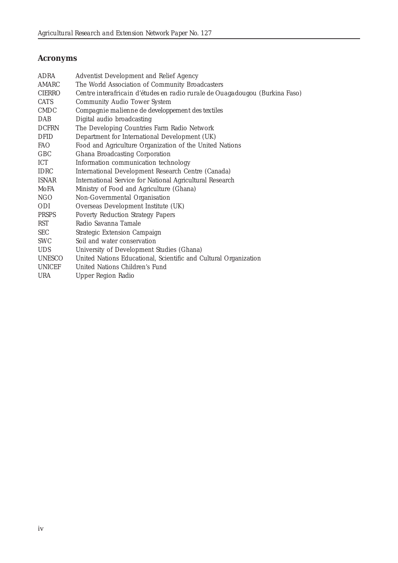## **Acronyms**

| ADRA          | Adventist Development and Relief Agency                                     |
|---------------|-----------------------------------------------------------------------------|
| AMARC         | The World Association of Community Broadcasters                             |
| <b>CIERRO</b> | Centre interafricain d'études en radio rurale de Ouagadougou (Burkina Faso) |
| <b>CATS</b>   | Community Audio Tower System                                                |
| <b>CMDC</b>   | Compagnie malienne de developpement des textiles                            |
| <b>DAB</b>    | Digital audio broadcasting                                                  |
| <b>DCFRN</b>  | The Developing Countries Farm Radio Network                                 |
| <b>DFID</b>   | Department for International Development (UK)                               |
| <b>FAO</b>    | Food and Agriculture Organization of the United Nations                     |
| GBC           | Ghana Broadcasting Corporation                                              |
| ICT           | Information communication technology                                        |
| <b>IDRC</b>   | International Development Research Centre (Canada)                          |
| <b>ISNAR</b>  | International Service for National Agricultural Research                    |
| MoFA          | Ministry of Food and Agriculture (Ghana)                                    |
| <b>NGO</b>    | Non-Governmental Organisation                                               |
| ODI           | Overseas Development Institute (UK)                                         |
| <b>PRSPS</b>  | <b>Poverty Reduction Strategy Papers</b>                                    |
| RST           | Radio Savanna Tamale                                                        |
| <b>SEC</b>    | Strategic Extension Campaign                                                |
| <b>SWC</b>    | Soil and water conservation                                                 |
| <b>UDS</b>    | University of Development Studies (Ghana)                                   |
| UNESCO        | United Nations Educational, Scientific and Cultural Organization            |
| <b>UNICEF</b> | United Nations Children's Fund                                              |
| <b>URA</b>    | Upper Region Radio                                                          |
|               |                                                                             |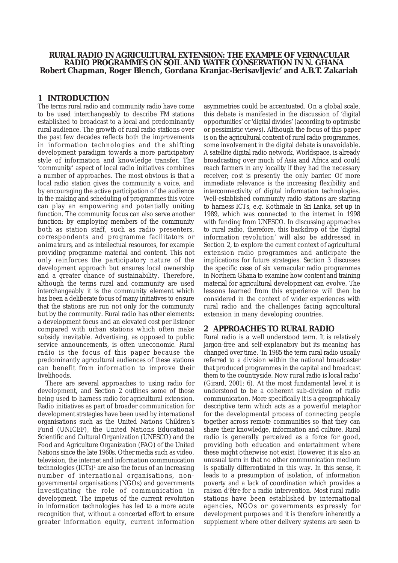#### **RURAL RADIO IN AGRICULTURAL EXTENSION: THE EXAMPLE OF VERNACULAR RADIO PROGRAMMES ON SOIL AND WATER CONSERVATION IN N. GHANA Robert Chapman, Roger Blench, Gordana Kranjac-Berisavljevic' and A.B.T. Zakariah**

## **1 INTRODUCTION**

The terms rural radio and community radio have come to be used interchangeably to describe FM stations established to broadcast to a local and predominantly rural audience. The growth of rural radio stations over the past few decades reflects both the improvements in information technologies and the shifting development paradigm towards a more participatory style of information and knowledge transfer. The 'community' aspect of local radio initiatives combines a number of approaches. The most obvious is that a local radio station gives the community a voice, and by encouraging the active participation of the audience in the making and scheduling of programmes this voice can play an empowering and potentially uniting function. The community focus can also serve another function: by employing members of the community both as station staff, such as radio presenters, correspondents and programme facilitators or *animateurs*, and as intellectual resources, for example providing programme material and content. This not only reinforces the participatory nature of the development approach but ensures local ownership and a greater chance of sustainability. Therefore, although the terms rural and community are used interchangeably it is the community element which has been a deliberate focus of many initiatives to ensure that the stations are run not only *for* the community but *by* the community. Rural radio has other elements: a development focus and an elevated cost per listener compared with urban stations which often make subsidy inevitable. Advertising, as opposed to public service announcements, is often uneconomic. Rural radio is the focus of this paper because the predominantly agricultural audiences of these stations can benefit from information to improve their livelihoods.

There are several approaches to using radio for development, and Section 2 outlines some of those being used to harness radio for agricultural extension. Radio initiatives as part of broader communication for development strategies have been used by international organisations such as the United Nations Children's Fund (UNICEF), the United Nations Educational Scientific and Cultural Organization (UNESCO) and the Food and Agriculture Organization (FAO) of the United Nations since the late 1960s. Other media such as video, television, the internet and information communication technologies (ICTs)<sup>1</sup> are also the focus of an increasing number of international organisations, nongovernmental organisations (NGOs) and governments investigating the role of communication in development. The impetus of the current revolution in information technologies has led to a more acute recognition that, without a concerted effort to ensure greater information equity, current information

asymmetries could be accentuated. On a global scale, this debate is manifested in the discussion of 'digital opportunities' or 'digital divides' (according to optimistic or pessimistic views). Although the focus of this paper is on the agricultural content of rural radio programmes, some involvement in the digital debate is unavoidable. A satellite digital radio network, Worldspace, is already broadcasting over much of Asia and Africa and could reach farmers in any locality if they had the necessary receiver; cost is presently the only barrier. Of more immediate relevance is the increasing flexibility and interconnectivity of digital information technologies. Well-established community radio stations are starting to harness ICTs, e.g. Kothmale in Sri Lanka, set up in 1989, which was connected to the internet in 1998 with funding from UNESCO. In discussing approaches to rural radio, therefore, this backdrop of the 'digital information revolution' will also be addressed in Section 2, to explore the current context of agricultural extension radio programmes and anticipate the implications for future strategies. Section 3 discusses the specific case of six vernacular radio programmes in Northern Ghana to examine how content and training material for agricultural development can evolve. The lessons learned from this experience will then be considered in the context of wider experiences with rural radio and the challenges facing agricultural extension in many developing countries.

#### **2 APPROACHES TO RURAL RADIO**

Rural radio is a well understood term. It is relatively jargon-free and self-explanatory but its meaning has changed over time. 'In 1985 the term rural radio usually referred to a division within the national broadcaster that produced programmes in the capital and broadcast them to the countryside. Now *rural* radio is *local* radio' (Girard, 2001: 6). At the most fundamental level it is understood to be a coherent sub-division of radio communication. More specifically it is a geographically descriptive term which acts as a powerful metaphor for the developmental process of connecting people together across remote communities so that they can share their knowledge, information and culture. Rural radio is generally perceived as a force for good, providing both education and entertainment where these might otherwise not exist. However, it is also an unusual term in that no other communication medium is spatially differentiated in this way. In this sense, it leads to a presumption of isolation, of information poverty and a lack of coordination which provides a *raison d'être* for a radio intervention. Most rural radio stations have been established by international agencies, NGOs or governments expressly for development purposes and it is therefore inherently a supplement where other delivery systems are seen to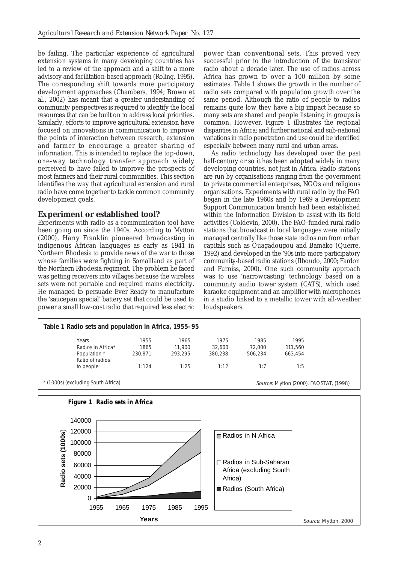be failing. The particular experience of agricultural extension systems in many developing countries has led to a review of the approach and a shift to a more advisory and facilitation-based approach (Roling, 1995). The corresponding shift towards more participatory development approaches (Chambers, 1994; Brown et al., 2002) has meant that a greater understanding of community perspectives is required to identify the local resources that can be built on to address local priorities. Similarly, efforts to improve agricultural extension have focused on innovations in communication to improve the points of interaction between research, extension and farmer to encourage a greater sharing of information. This is intended to replace the top-down, one-way technology transfer approach widely perceived to have failed to improve the prospects of most farmers and their rural communities. This section identifies the way that agricultural extension and rural radio have come together to tackle common community development goals.

## **Experiment or established tool?**

Experiments with radio as a communication tool have been going on since the 1940s. According to Mytton (2000), Harry Franklin pioneered broadcasting in indigenous African languages as early as 1941 in Northern Rhodesia to provide news of the war to those whose families were fighting in Somaliland as part of the Northern Rhodesia regiment. The problem he faced was getting receivers into villages because the wireless sets were not portable and required mains electricity. He managed to persuade Ever Ready to manufacture the 'saucepan special' battery set that could be used to power a small low-cost radio that required less electric

power than conventional sets. This proved very successful prior to the introduction of the transistor radio about a decade later. The use of radios across Africa has grown to over a 100 million by some estimates. Table 1 shows the growth in the number of radio sets compared with population growth over the same period. Although the ratio of people to radios remains quite low they have a big impact because so many sets are shared and people listening in groups is common. However, Figure 1 illustrates the regional disparities in Africa; and further national and sub-national variations in radio penetration and use could be identified especially between many rural and urban areas.

As radio technology has developed over the past half-century or so it has been adopted widely in many developing countries, not just in Africa. Radio stations are run by organisations ranging from the government to private commercial enterprises, NGOs and religious organisations. Experiments with rural radio by the FAO began in the late 1960s and by 1969 a Development Support Communication branch had been established within the Information Division to assist with its field activities (Coldevin, 2000). The FAO-funded rural radio stations that broadcast in local languages were initially managed centrally like those state radios run from urban capitals such as Ouagadougou and Bamako (Querre, 1992) and developed in the '90s into more participatory community-based radio stations (Ilboudo, 2000; Fardon and Furniss, 2000). One such community approach was to use 'narrowcasting' technology based on a community audio tower system (CATS), which used karaoke equipment and an amplifier with microphones in a studio linked to a metallic tower with all-weather loudspeakers.



Source: Mytton, 2000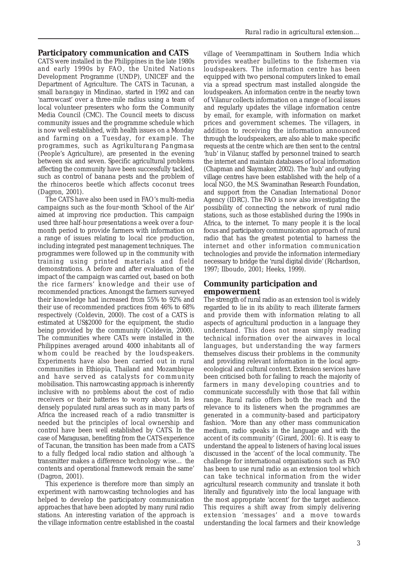#### **Participatory communication and CATS**

CATS were installed in the Philippines in the late 1980s and early 1990s by FAO, the United Nations Development Programme (UNDP), UNICEF and the Department of Agriculture. The CATS in Tacunan, a small *barangay* in Mindinao, started in 1992 and can 'narrowcast' over a three-mile radius using a team of local volunteer presenters who form the Community Media Council (CMC). The Council meets to discuss community issues and the programme schedule which is now well established, with health issues on a Monday and farming on a Tuesday, for example. The programmes, such as *Agrikulturang Pangmasa* (People's Agriculture), are presented in the evening between six and seven. Specific agricultural problems affecting the community have been successfully tackled, such as control of banana pests and the problem of the rhinoceros beetle which affects coconut trees (Dagron, 2001).

The CATS have also been used in FAO's multi-media campaigns such as the four-month 'School of the Air' aimed at improving rice production. This campaign used three half-hour presentations a week over a fourmonth period to provide farmers with information on a range of issues relating to local rice production, including integrated pest management techniques. The programmes were followed up in the community with training using printed materials and field demonstrations. A before and after evaluation of the impact of the campaign was carried out, based on both the rice farmers' knowledge and their use of recommended practices. Amongst the farmers surveyed their knowledge had increased from 55% to 92% and their use of recommended practices from 46% to 68% respectively (Coldevin, 2000). The cost of a CATS is estimated at US\$2000 for the equipment, the studio being provided by the community (Coldevin, 2000). The communities where CATs were installed in the Philippines averaged around 4000 inhabitants all of whom could be reached by the loudspeakers. Experiments have also been carried out in rural communities in Ethiopia, Thailand and Mozambique and have served as catalysts for community mobilisation. This narrowcasting approach is inherently inclusive with no problems about the cost of radio receivers or their batteries to worry about. In less densely populated rural areas such as in many parts of Africa the increased reach of a radio transmitter is needed but the principles of local ownership and control have been well established by CATS. In the case of Maragusan, benefiting from the CATS experience of Tacunan, the transition has been made from a CATS to a fully fledged local radio station and although 'a transmitter makes a difference technology wise… the contents and operational framework remain the same' (Dagron, 2001).

This experience is therefore more than simply an experiment with narrowcasting technologies and has helped to develop the participatory communication approaches that have been adopted by many rural radio stations. An interesting variation of the approach is the village information centre established in the coastal village of Veerampattinam in Southern India which provides weather bulletins to the fishermen via loudspeakers. The information centre has been equipped with two personal computers linked to email via a spread spectrum mast installed alongside the loudspeakers. An information centre in the nearby town of Vilanur collects information on a range of local issues and regularly updates the village information centre by email, for example, with information on market prices and government schemes. The villagers, in addition to receiving the information announced through the loudspeakers, are also able to make specific requests at the centre which are then sent to the central 'hub' in Vilanur, staffed by personnel trained to search the internet and maintain databases of local information (Chapman and Slaymaker, 2002). The 'hub' and outlying village centres have been established with the help of a local NGO, the M.S. Swaminathan Research Foundation, and support from the Canadian International Donor Agency (IDRC). The FAO is now also investigating the possibility of connecting the network of rural radio stations, such as those established during the 1990s in Africa, to the internet. To many people it is the local focus and participatory communication approach of rural radio that has the greatest potential to harness the internet and other information communication technologies and provide the information intermediary necessary to bridge the 'rural digital divide' (Richardson, 1997; Ilboudo, 2001; Heeks, 1999).

## **Community participation and empowerment**

The strength of rural radio as an extension tool is widely regarded to lie in its ability to reach illiterate farmers and provide them with information relating to all aspects of agricultural production in a language they understand. This does not mean simply reading technical information over the airwaves in local languages, but understanding the way farmers themselves discuss their problems in the community and providing relevant information in the local agroecological and cultural context. Extension services have been criticised both for failing to reach the majority of farmers in many developing countries and to communicate successfully with those that fall within range. Rural radio offers both the reach and the relevance to its listeners when the programmes are generated in a community-based and participatory fashion. 'More than any other mass communication medium, radio speaks in the language and with the accent of its community' (Girard, 2001: 6). It is easy to understand the appeal to listeners of having local issues discussed in the 'accent' of the local community. The challenge for international organisations such as FAO has been to use rural radio as an extension tool which can take technical information from the wider agricultural research community and translate it both literally and figuratively into the local language with the most appropriate 'accent' for the target audience. This requires a shift away from simply delivering extension 'messages' and a move towards understanding the local farmers and their knowledge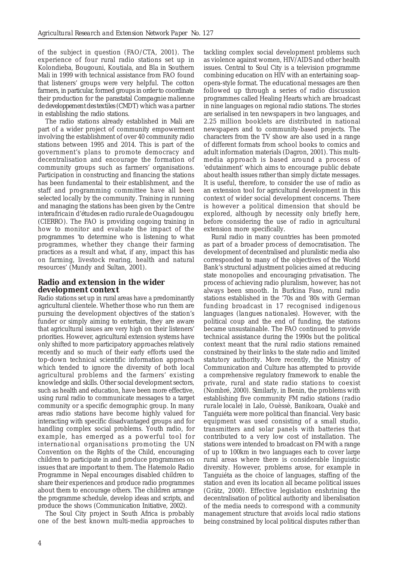of the subject in question (FAO/CTA, 2001). The experience of four rural radio stations set up in Kolondieba, Bougouni, Koutiala, and Bla in Southern Mali in 1999 with technical assistance from FAO found that listeners' groups were very helpful. The cotton farmers, in particular, formed groups in order to coordinate their production for the parastatal *Compagnie malienne de developpement des textiles* (CMDT) which was a partner in establishing the radio stations.

The radio stations already established in Mali are part of a wider project of community empowerment involving the establishment of over 40 community radio stations between 1995 and 2014. This is part of the government's plans to promote democracy and decentralisation and encourage the formation of community groups such as farmers' organisations. Participation in constructing and financing the stations has been fundamental to their establishment, and the staff and programming committee have all been selected locally by the community. Training in running and managing the stations has been given by the *Centre interafricain d'études en radio rurale de Ouagadougou* (CIERRO). The FAO is providing ongoing training in how to monitor and evaluate the impact of the programmes 'to determine who is listening to what programmes, whether they change their farming practices as a result and what, if any, impact this has on farming, livestock rearing, health and natural resources' (Mundy and Sultan, 2001).

## **Radio and extension in the wider development context**

Radio stations set up in rural areas have a predominantly agricultural clientele. Whether those who run them are pursuing the development objectives of the station's funder or simply aiming to entertain, they are aware that agricultural issues are very high on their listeners' priorities. However, agricultural extension systems have only shifted to more participatory approaches relatively recently and so much of their early efforts used the top-down technical scientific information approach which tended to ignore the diversity of both local agricultural problems and the farmers' existing knowledge and skills. Other social development sectors, such as health and education, have been more effective, using rural radio to communicate messages to a target community or a specific demographic group. In many areas radio stations have become highly valued for interacting with specific disadvantaged groups and for handling complex social problems. Youth radio, for example, has emerged as a powerful tool for international organisations promoting the UN Convention on the Rights of the Child, encouraging children to participate in and produce programmes on issues that are important to them. The Hatemolo Radio Programme in Nepal encourages disabled children to share their experiences and produce radio programmes about them to encourage others. The children arrange the programme schedule, develop ideas and scripts, and produce the shows (Communication Initiative, 2002).

The Soul City project in South Africa is probably one of the best known multi-media approaches to

tackling complex social development problems such as violence against women, HIV/AIDS and other health issues. Central to Soul City is a television programme combining education on HIV with an entertaining soapopera-style format. The educational messages are then followed up through a series of radio discussion programmes called Healing Hearts which are broadcast in nine languages on regional radio stations. The stories are serialised in ten newspapers in two languages, and 2.25 million booklets are distributed in national newspapers and to community-based projects. The characters from the TV show are also used in a range of different formats from school books to comics and adult information materials (Dagron, 2001). This multimedia approach is based around a process of 'edutainment' which aims to encourage public debate about health issues rather than simply dictate messages. It is useful, therefore, to consider the use of radio as an extension tool for agricultural development in this context of wider social development concerns. There is however a political dimension that should be explored, although by necessity only briefly here, before considering the use of radio in agricultural extension more specifically.

Rural radio in many countries has been promoted as part of a broader process of democratisation. The development of decentralised and pluralistic media also corresponded to many of the objectives of the World Bank's structural adjustment policies aimed at reducing state monopolies and encouraging privatisation. The process of achieving radio pluralism, however, has not always been smooth. In Burkina Faso, rural radio stations established in the '70s and '80s with German funding broadcast in 17 recognised indigenous languages (*langues nationales*). However, with the political coup and the end of funding, the stations became unsustainable. The FAO continued to provide technical assistance during the 1990s but the political context meant that the rural radio stations remained constrained by their links to the state radio and limited statutory authority. More recently, the Ministry of Communication and Culture has attempted to provide a comprehensive regulatory framework to enable the private, rural and state radio stations to coexist (Nombré, 2000). Similarly, in Benin, the problems with establishing five community FM radio stations (*radio rurale locale*) in Lalo, Ouèssè, Banikoara, Ouakè and Tanguiéta were more political than financial. Very basic equipment was used consisting of a small studio, transmitters and solar panels with batteries that contributed to a very low cost of installation. The stations were intended to broadcast on FM with a range of up to 100km in two languages each to cover large rural areas where there is considerable linguistic diversity. However, problems arose, for example in Tanguiéta as the choice of languages, staffing of the station and even its location all became political issues (Grätz, 2000). Effective legislation enshrining the decentralisation of political authority and liberalisation of the media needs to correspond with a community management structure that avoids local radio stations being constrained by local political disputes rather than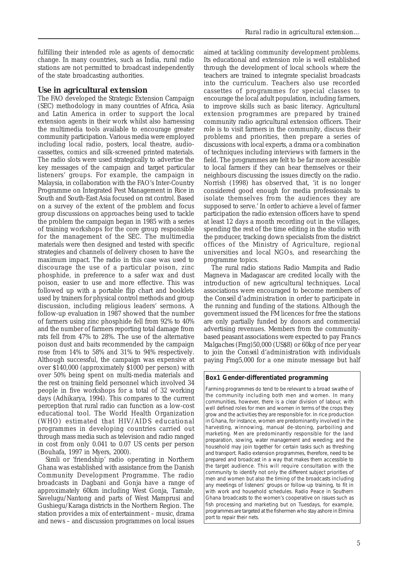fulfilling their intended role as agents of democratic change. In many countries, such as India, rural radio stations are not permitted to broadcast independently of the state broadcasting authorities.

#### **Use in agricultural extension**

The FAO developed the Strategic Extension Campaign (SEC) methodology in many countries of Africa, Asia and Latin America in order to support the local extension agents in their work whilst also harnessing the multimedia tools available to encourage greater community participation. Various media were employed including local radio, posters, local theatre, audiocassettes, comics and silk-screened printed materials. The radio slots were used strategically to advertise the key messages of the campaign and target particular listeners' groups. For example, the campaign in Malaysia, in collaboration with the FAO's Inter-Country Programme on Integrated Pest Management in Rice in South and South-East Asia focused on rat control. Based on a survey of the extent of the problem and focus group discussions on approaches being used to tackle the problem the campaign began in 1985 with a series of training workshops for the core group responsible for the management of the SEC. The multimedia materials were then designed and tested with specific strategies and channels of delivery chosen to have the maximum impact. The radio in this case was used to discourage the use of a particular poison, zinc phosphide, in preference to a safer wax and dust poison, easier to use and more effective. This was followed up with a portable flip chart and booklets used by trainers for physical control methods and group discussion, including religious leaders' sermons. A follow-up evaluation in 1987 showed that the number of farmers using zinc phosphide fell from 92% to 40% and the number of farmers reporting total damage from rats fell from 47% to 28%. The use of the alternative poison dust and baits recommended by the campaign rose from 14% to 58% and 31% to 94% respectively. Although successful, the campaign was expensive at over \$140,000 (approximately \$1000 per person) with over 50% being spent on multi-media materials and the rest on training field personnel which involved 34 people in five workshops for a total of 32 working days (Adhikarya, 1994). This compares to the current perception that rural radio can function as a low-cost educational tool. The World Health Organization (WHO) estimated that HIV/AIDS educational programmes in developing countries carried out through mass media such as television and radio ranged in cost from only 0.041 to 0.07 US cents per person (Bouhafa, 1997 in Myers, 2000).

Simli or 'friendship' radio operating in Northern Ghana was established with assistance from the Danish Community Development Programme. The radio broadcasts in Dagbani and Gonja have a range of approximately 60km including West Gonja, Tamale, Savelugu/Nantong and parts of West Mamprusi and Gushiegu/Karaga districts in the Northern Region. The station provides a mix of entertainment – music, drama and news – and discussion programmes on local issues

aimed at tackling community development problems. Its educational and extension role is well established through the development of local schools where the teachers are trained to integrate specialist broadcasts into the curriculum. Teachers also use recorded cassettes of programmes for special classes to encourage the local adult population, including farmers, to improve skills such as basic literacy. Agricultural extension programmes are prepared by trained community radio agricultural extension officers. Their role is to visit farmers in the community, discuss their problems and priorities, then prepare a series of discussions with local experts, a drama or a combination of techniques including interviews with farmers in the field. The programmes are felt to be far more accessible to local farmers if they can hear themselves or their neighbours discussing the issues directly on the radio. Norrish (1998) has observed that, 'it is no longer considered good enough for media professionals to isolate themselves from the audiences they are supposed to serve.' In order to achieve a level of farmer participation the radio extension officers have to spend at least 12 days a month recording out in the villages, spending the rest of the time editing in the studio with the producer, tracking down specialists from the district offices of the Ministry of Agriculture, regional universities and local NGOs, and researching the programme topics.

The rural radio stations Radio Mampita and Radio Magneva in Madagascar are credited locally with the introduction of new agricultural techniques. Local associations were encouraged to become members of the *Conseil d'administration* in order to participate in the running and funding of the stations. Although the government issued the FM licences for free the stations are only partially funded by donors and commercial advertising revenues. Members from the communitybased peasant associations were expected to pay *Francs Malgaches* (Fmg)50,000 (US\$8) or 60kg of rice per year to join the *Conseil d'administration* with individuals paying Fmg5,000 for a one minute message but half

#### **Box1 Gender-differentiated programming**

Farming programmes do tend to be relevant to a broad swathe of the community including both men and women. In many communities, however, there is a clear division of labour, with well defined roles for men and women in terms of the crops they grow and the activities they are responsible for. In rice production in Ghana, for instance, women are predominantly involved in the harvesting, winnowing, manual de-stoning, parboiling and marketing. Men are predominantly responsible for the land preparation, sowing, water management and weeding; and the household may join together for certain tasks such as threshing and transport. Radio extension programmes, therefore, need to be prepared and broadcast in a way that makes them accessible to the target audience. This will require consultation with the community to identify not only the different subject priorities of men and women but also the timing of the broadcasts including any meetings of listeners' groups or follow-up training, to fit in with work and household schedules. Radio Peace in Southern Ghana broadcasts to the women's cooperative on issues such as fish processing and marketing but on Tuesdays, for example, programmes are targeted at the fishermen who stay ashore in Elmina port to repair their nets.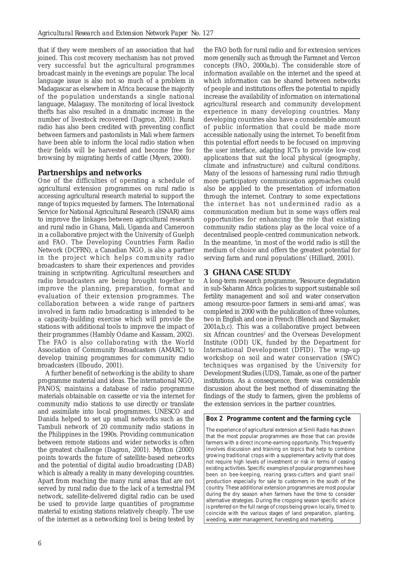that if they were members of an association that had joined. This cost recovery mechanism has not proved very successful but the agricultural programmes broadcast mainly in the evenings are popular. The local language issue is also not so much of a problem in Madagascar as elsewhere in Africa because the majority of the population understands a single national language, Malagasy. The monitoring of local livestock thefts has also resulted in a dramatic increase in the number of livestock recovered (Dagron, 2001). Rural radio has also been credited with preventing conflict between farmers and pastoralists in Mali where farmers have been able to inform the local radio station when their fields will be harvested and become free for browsing by migrating herds of cattle (Myers, 2000).

## **Partnerships and networks**

One of the difficulties of operating a schedule of agricultural extension programmes on rural radio is accessing agricultural research material to support the range of topics requested by farmers. The International Service for National Agricultural Research (ISNAR) aims to improve the linkages between agricultural research and rural radio in Ghana, Mali, Uganda and Cameroon in a collaborative project with the University of Guelph and FAO. The Developing Countries Farm Radio Network (DCFRN), a Canadian NGO, is also a partner in the project which helps community radio broadcasters to share their experiences and provides training in scriptwriting. Agricultural researchers and radio broadcasters are being brought together to improve the planning, preparation, format and evaluation of their extension programmes. The collaboration between a wide range of partners involved in farm radio broadcasting is intended to be a capacity-building exercise which will provide the stations with additional tools to improve the impact of their programmes (Hambly Odame and Kassam, 2002). The FAO is also collaborating with the World Association of Community Broadcasters (AMARC) to develop training programmes for community radio broadcasters (Ilboudo, 2001).

A further benefit of networking is the ability to share programme material and ideas. The international NGO, PANOS, maintains a database of radio programme materials obtainable on cassette or via the internet for community radio stations to use directly or translate and assimilate into local programmes. UNESCO and Danida helped to set up small networks such as the Tambuli network of 20 community radio stations in the Philippines in the 1990s. Providing communication between remote stations and wider networks is often the greatest challenge (Dagron, 2001). Mytton (2000) points towards the future of satellite-based networks and the potential of digital audio broadcasting (DAB) which is already a reality in many developing countries. Apart from reaching the many rural areas that are not served by rural radio due to the lack of a terrestrial FM network, satellite-delivered digital radio can be used be used to provide large quantities of programme material to existing stations relatively cheaply. The use of the internet as a networking tool is being tested by

the FAO both for rural radio and for extension services more generally such as through the Farmnet and Vercon concepts (FAO, 2000a,b). The considerable store of information available on the internet and the speed at which information can be shared between networks of people and institutions offers the potential to rapidly increase the availability of information on international agricultural research and community development experience in many developing countries. Many developing countries also have a considerable amount of public information that could be made more accessible nationally using the internet. To benefit from this potential effort needs to be focused on improving the user interface, adapting ICTs to provide low-cost applications that suit the local physical (geography, climate and infrastructure) and cultural conditions. Many of the lessons of harnessing rural radio through more participatory communication approaches could also be applied to the presentation of information through the internet. Contrary to some expectations the internet has not undermined radio as a communication medium but in some ways offers real opportunities for enhancing the role that existing community radio stations play as the local voice of a decentralised people-centred communication network. In the meantime, 'in most of the world radio is still the medium of choice and offers the greatest potential for serving farm and rural populations' (Hilliard, 2001).

## **3 GHANA CASE STUDY**

A long-term research programme, 'Resource degradation in sub-Saharan Africa: policies to support sustainable soil fertility management and soil and water conservation among resource-poor farmers in semi-arid areas', was completed in 2000 with the publication of three volumes, two in English and one in French (Blench and Slaymaker, 2001a,b,c). This was a collaborative project between six African countries<sup>2</sup> and the Overseas Development Institute (ODI) UK, funded by the Department for International Development (DFID). The wrap-up workshop on soil and water conservation (SWC) techniques was organised by the University for Development Studies (UDS), Tamale, as one of the partner institutions. As a consequence, there was considerable discussion about the best method of disseminating the findings of the study to farmers, given the problems of the extension services in the partner countries.

#### **Box 2 Programme content and the farming cycle**

The experience of agricultural extension at Simli Radio has shown that the most popular programmes are those that can provide farmers with a direct income-earning opportunity. This frequently involves discussion and training on topics that help to combine growing traditional crops with a supplementary activity that does not require high levels of investment or risk in terms of ceasing existing activities. Specific examples of popular programmes have been on bee-keeping, rearing grass-cutters and giant snail production especially for sale to customers in the south of the country. These additional extension programmes are most popular during the dry season when farmers have the time to consider alternative strategies. During the cropping season specific advice is preferred on the full range of crops being grown locally, timed to coincide with the various stages of land preparation, planting, weeding, water management, harvesting and marketing.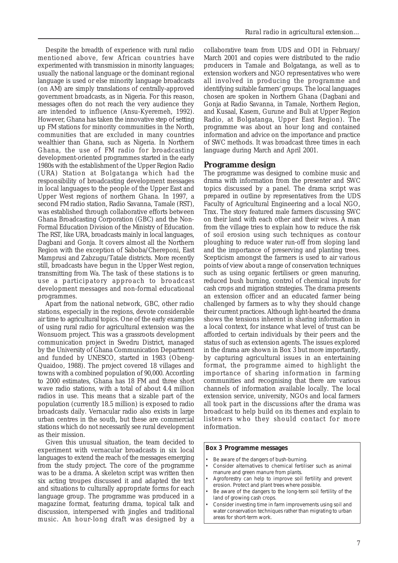Despite the breadth of experience with rural radio mentioned above, few African countries have experimented with transmission in minority languages; usually the national language or the dominant regional language is used or else minority language broadcasts (on AM) are simply translations of centrally-approved government broadcasts, as in Nigeria. For this reason, messages often do not reach the very audience they are intended to influence (Ansu-Kyeremeh, 1992). However, Ghana has taken the innovative step of setting up FM stations for minority communities in the North, communities that are excluded in many countries wealthier than Ghana, such as Nigeria. In Northern Ghana, the use of FM radio for broadcasting development-oriented programmes started in the early 1980s with the establishment of the Upper Region Radio (URA) Station at Bolgatanga which had the responsibility of broadcasting development messages in local languages to the people of the Upper East and Upper West regions of northern Ghana. In 1997, a second FM radio station, Radio Savanna, Tamale (RST), was established through collaborative efforts between Ghana Broadcasting Corporation (GBC) and the Non-Formal Education Division of the Ministry of Education. The RST, like URA, broadcasts mainly in local languages, Dagbani and Gonja. It covers almost all the Northern Region with the exception of Saboba/Chereponi, East Mamprusi and Zabzugu/Tatale districts. More recently still, broadcasts have begun in the Upper West region, transmitting from Wa. The task of these stations is to use a participatory approach to broadcast development messages and non-formal educational programmes.

Apart from the national network, GBC, other radio stations, especially in the regions, devote considerable air time to agricultural topics. One of the early examples of using rural radio for agricultural extension was the Wonsuom project. This was a grassroots development communication project in Swedru District, managed by the University of Ghana Communication Department and funded by UNESCO, started in 1983 (Obeng-Quaidoo, 1988). The project covered 18 villages and towns with a combined population of 90,000. According to 2000 estimates, Ghana has 18 FM and three short wave radio stations, with a total of about 4.4 million radios in use. This means that a sizable part of the population (currently 18.5 million) is exposed to radio broadcasts daily. Vernacular radio also exists in large urban centres in the south, but these are commercial stations which do not necessarily see rural development as their mission.

Given this unusual situation, the team decided to experiment with vernacular broadcasts in six local languages to extend the reach of the messages emerging from the study project. The core of the programme was to be a drama. A skeleton script was written then six acting troupes discussed it and adapted the text and situations to culturally appropriate forms for each language group. The programme was produced in a magazine format, featuring drama, topical talk and discussion, interspersed with jingles and traditional music. An hour-long draft was designed by a

collaborative team from UDS and ODI in February/ March 2001 and copies were distributed to the radio producers in Tamale and Bolgatanga, as well as to extension workers and NGO representatives who were all involved in producing the programme and identifying suitable farmers' groups. The local languages chosen are spoken in Northern Ghana (Dagbani and Gonja at Radio Savanna, in Tamale, Northern Region, and Kusaal, Kasem, Gurune and Buli at Upper Region Radio, at Bolgatanga, Upper East Region). The programme was about an hour long and contained information and advice on the importance and practice of SWC methods. It was broadcast three times in each language during March and April 2001.

#### **Programme design**

The programme was designed to combine music and drama with information from the presenter and SWC topics discussed by a panel. The drama script was prepared in outline by representatives from the UDS Faculty of Agricultural Engineering and a local NGO, Trax. The story featured male farmers discussing SWC on their land with each other and their wives. A man from the village tries to explain how to reduce the risk of soil erosion using such techniques as contour ploughing to reduce water run-off from sloping land and the importance of preserving and planting trees. Scepticism amongst the farmers is used to air various points of view about a range of conservation techniques such as using organic fertilisers or green manuring, reduced bush burning, control of chemical inputs for cash crops and migration strategies. The drama presents an extension officer and an educated farmer being challenged by farmers as to why they should change their current practices. Although light-hearted the drama shows the tensions inherent in sharing information in a local context, for instance what level of trust can be afforded to certain individuals by their peers and the status of such as extension agents. The issues explored in the drama are shown in Box 3 but more importantly, by capturing agricultural issues in an entertaining format, the programme aimed to highlight the importance of sharing information in farming communities and recognising that there are various channels of information available locally. The local extension service, university, NGOs and local farmers all took part in the discussions after the drama was broadcast to help build on its themes and explain to listeners who they should contact for more information.

#### **Box 3 Programme messages**

- Be aware of the dangers of bush-burning.
- Consider alternatives to chemical fertiliser such as animal manure and green manure from plants.
- Agroforestry can help to improve soil fertility and prevent erosion. Protect and plant trees where possible.
- Be aware of the dangers to the long-term soil fertility of the land of growing cash crops.
- Consider investing time in farm improvements using soil and water conservation techniques rather than migrating to urban areas for short-term work.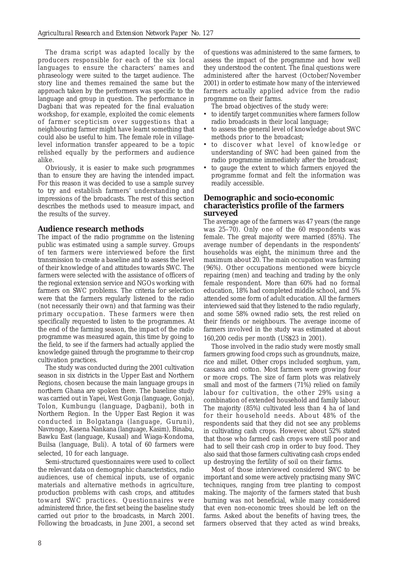The drama script was adapted locally by the producers responsible for each of the six local languages to ensure the characters' names and phraseology were suited to the target audience. The story line and themes remained the same but the approach taken by the performers was specific to the language and group in question. The performance in Dagbani that was repeated for the final evaluation workshop, for example, exploited the comic elements of farmer scepticism over suggestions that a neighbouring farmer might have learnt something that could also be useful to him. The female role in villagelevel information transfer appeared to be a topic relished equally by the performers and audience alike.

Obviously, it is easier to make such programmes than to ensure they are having the intended impact. For this reason it was decided to use a sample survey to try and establish farmers' understanding and impressions of the broadcasts. The rest of this section describes the methods used to measure impact, and the results of the survey.

## **Audience research methods**

The impact of the radio programme on the listening public was estimated using a sample survey. Groups of ten farmers were interviewed before the first transmission to create a baseline and to assess the level of their knowledge of and attitudes towards SWC. The farmers were selected with the assistance of officers of the regional extension service and NGOs working with farmers on SWC problems. The criteria for selection were that the farmers regularly listened to the radio (not necessarily their own) and that farming was their primary occupation. These farmers were then specifically requested to listen to the programmes. At the end of the farming season, the impact of the radio programme was measured again, this time by going to the field, to see if the farmers had actually applied the knowledge gained through the programme to their crop cultivation practices.

The study was conducted during the 2001 cultivation season in six districts in the Upper East and Northern Regions, chosen because the main language groups in northern Ghana are spoken there. The baseline study was carried out in Yapei, West Gonja (language, Gonja), Tolon, Kumbungu (language, Dagbani), both in Northern Region. In the Upper East Region it was conducted in Bolgatanga (language, Guruni), Navrongo, Kasena Nankana (language, Kasim), Binabu, Bawku East (language, Kusaal) and Wiaga-Kondoma, Builsa (language, Buli). A total of 60 farmers were selected, 10 for each language.

Semi-structured questionnaires were used to collect the relevant data on demographic characteristics, radio audiences, use of chemical inputs, use of organic materials and alternative methods in agriculture, production problems with cash crops, and attitudes toward SWC practices. Questionnaires were administered thrice, the first set being the baseline study carried out prior to the broadcasts, in March 2001. Following the broadcasts, in June 2001, a second set

of questions was administered to the same farmers, to assess the impact of the programme and how well they understood the content. The final questions were administered after the harvest (October/November 2001) in order to estimate how many of the interviewed farmers actually applied advice from the radio programme on their farms.

The broad objectives of the study were:

- to identify target communities where farmers follow radio broadcasts in their local language;
- to assess the general level of knowledge about SWC methods prior to the broadcast;
- to discover what level of knowledge or understanding of SWC had been gained from the radio programme immediately after the broadcast;
- to gauge the extent to which farmers enjoyed the programme format and felt the information was readily accessible.

#### **Demographic and socio-economic characteristics profile of the farmers surveyed**

The average age of the farmers was 47 years (the range was 25–70). Only one of the 60 respondents was female. The great majority were married (85%). The average number of dependants in the respondents' households was eight, the minimum three and the maximum about 20. The main occupation was farming (96%). Other occupations mentioned were bicycle repairing (men) and teaching and trading by the only female respondent. More than 60% had no formal education, 18% had completed middle school, and 5% attended some form of adult education. All the farmers interviewed said that they listened to the radio regularly, and some 58% owned radio sets, the rest relied on their friends or neighbours. The average income of farmers involved in the study was estimated at about 160,200 cedis per month (US\$23 in 2001).

Those involved in the radio study were mostly small farmers growing food crops such as groundnuts, maize, rice and millet. Other crops included sorghum, yam, cassava and cotton. Most farmers were growing four or more crops. The size of farm plots was relatively small and most of the farmers (71%) relied on family labour for cultivation, the other 29% using a combination of extended household and family labour. The majority (85%) cultivated less than 4 ha of land for their household needs. About 48% of the respondents said that they did not see any problems in cultivating cash crops. However, about 52% stated that those who farmed cash crops were still poor and had to sell their cash crop in order to buy food. They also said that those farmers cultivating cash crops ended up destroying the fertility of soil on their farms.

Most of those interviewed considered SWC to be important and some were actively practising many SWC techniques, ranging from tree planting to compost making. The majority of the farmers stated that bush burning was not beneficial, while many considered that even non-economic trees should be left on the farms. Asked about the benefits of having trees, the farmers observed that they acted as wind breaks,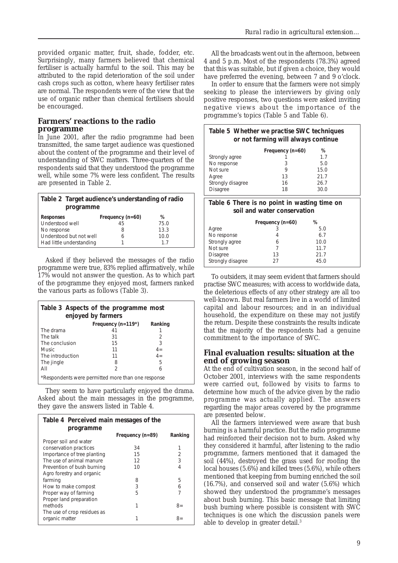provided organic matter, fruit, shade, fodder, etc. Surprisingly, many farmers believed that chemical fertiliser is actually harmful to the soil. This may be attributed to the rapid deterioration of the soil under cash crops such as cotton, where heavy fertiliser rates are normal. The respondents were of the view that the use of organic rather than chemical fertilisers should be encouraged.

#### **Farmers' reactions to the radio programme**

In June 2001, after the radio programme had been transmitted, the same target audience was questioned about the content of the programme and their level of understanding of SWC matters. Three-quarters of the respondents said that they understood the programme well, while some 7% were less confident. The results are presented in Table 2.

| Table 2 Target audience's understanding of radio<br>programme |                  |      |  |
|---------------------------------------------------------------|------------------|------|--|
| <b>Responses</b>                                              | Frequency (n=60) | ℅    |  |
| Understood well                                               | 45               | 75.0 |  |
| No response                                                   | 8                | 13.3 |  |
| Understood but not well                                       | 6                | 10.0 |  |
| Had little understanding                                      |                  | 17   |  |

Asked if they believed the messages of the radio programme were true, 83% replied affirmatively, while 17% would not answer the question. As to which part of the programme they enjoyed most, farmers ranked the various parts as follows (Table 3).

| Table 3 Aspects of the programme most<br>enjoyed by farmers |                                                    |         |  |
|-------------------------------------------------------------|----------------------------------------------------|---------|--|
|                                                             | Frequency (n=119*)                                 | Ranking |  |
| The drama                                                   | 41                                                 |         |  |
| The talk                                                    | 31                                                 | 2       |  |
| The conclusion                                              | 15                                                 | 3       |  |
| <b>Music</b>                                                | 11                                                 | $4 =$   |  |
| The introduction                                            | 11                                                 | $4 =$   |  |
| The <i>jingle</i>                                           | 8                                                  | 5       |  |
| AII                                                         | 2                                                  | 6       |  |
|                                                             | *Respondents were permitted more than one response |         |  |

They seem to have particularly enjoyed the drama. Asked about the main messages in the programme, they gave the answers listed in Table 4.

| Table 4 Perceived main messages of the<br>programme |                  |         |
|-----------------------------------------------------|------------------|---------|
|                                                     | Frequency (n=89) | Ranking |
| Proper soil and water                               |                  |         |
| conservation practices                              | 34               |         |
| Importance of tree planting                         | 15               | 2       |
| The use of animal manure                            | 12               | 3       |
| Prevention of bush burning                          | 10               | 4       |
| Agro forestry and organic                           |                  |         |
| farming                                             | 8                | 5       |
| How to make compost                                 | 3                | 6       |
| Proper way of farming                               | 5                | 7       |
| Proper land preparation                             |                  |         |
| methods                                             | 1                | $8=$    |
| The use of crop residues as                         |                  |         |
| organic matter                                      |                  | $8=$    |

All the broadcasts went out in the afternoon, between 4 and 5 p.m. Most of the respondents (78.3%) agreed that this was suitable, but if given a choice, they would have preferred the evening, between 7 and 9 o'clock.

In order to ensure that the farmers were not simply seeking to please the interviewers by giving only positive responses, two questions were asked inviting negative views about the importance of the programme's topics (Table 5 and Table 6).

| Table 5 Whether we practise SWC techniques<br>or not farming will always continue |                    |      |  |
|-----------------------------------------------------------------------------------|--------------------|------|--|
|                                                                                   | Frequency $(n=60)$ | %    |  |
| Strongly agree                                                                    |                    | 1.7  |  |
| No response                                                                       | 3                  | 5.0  |  |
| Not sure                                                                          | Q                  | 15.0 |  |
| Agree                                                                             | 13                 | 21.7 |  |
| Strongly disagree                                                                 | 16                 | 26.7 |  |
| <b>Disagree</b>                                                                   | 18                 | 30.0 |  |
| Table 6 There is no point in wasting time on                                      |                    |      |  |

**soil and water conservation**

|--|

To outsiders, it may seem evident that farmers should practise SWC measures; with access to worldwide data, the deleterious effects of any other strategy are all too well-known. But real farmers live in a world of limited capital and labour resources; and in an individual household, the expenditure on these may not justify the return. Despite these constraints the results indicate that the majority of the respondents had a genuine commitment to the importance of SWC.

## **Final evaluation results: situation at the end of growing season**

At the end of cultivation season, in the second half of October 2001, interviews with the same respondents were carried out, followed by visits to farms to determine how much of the advice given by the radio programme was actually applied. The answers regarding the major areas covered by the programme are presented below.

All the farmers interviewed were aware that bush burning is a harmful practice. But the radio programme had reinforced their decision not to burn. Asked why they considered it harmful, after listening to the radio programme, farmers mentioned that it damaged the soil (44%), destroyed the grass used for roofing the local houses (5.6%) and killed trees (5.6%), while others mentioned that keeping from burning enriched the soil (16.7%), and conserved soil and water (5.6%) which showed they understood the programme's messages about bush burning. This basic message that limiting bush burning where possible is consistent with SWC techniques is one which the discussion panels were able to develop in greater detail.<sup>3</sup>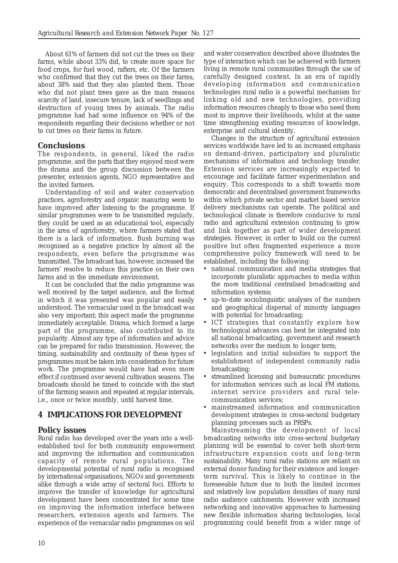About 61% of farmers did not cut the trees on their farms, while about 33% did, to create more space for food crops, for fuel wood, rafters, etc. Of the farmers who confirmed that they cut the trees on their farms, about 38% said that they also planted them. Those who did not plant trees gave as the main reasons scarcity of land, insecure tenure, lack of seedlings and destruction of young trees by animals. The radio programme had had some influence on 94% of the respondents regarding their decisions whether or not to cut trees on their farms in future.

## **Conclusions**

The respondents, in general, liked the radio programme, and the parts that they enjoyed most were the drama and the group discussion between the presenter, extension agents, NGO representative and the invited farmers.

Understanding of soil and water conservation practices, agroforestry and organic manuring seem to have improved after listening to the programme. If similar programmes were to be transmitted regularly, they could be used as an educational tool, especially in the area of agroforestry, where farmers stated that there is a lack of information. Bush burning was recognised as a negative practice by almost all the respondents, even before the programme was transmitted. The broadcast has, however, increased the farmers' resolve to reduce this practice on their own farms and in the immediate environment.

It can be concluded that the radio programme was well received by the target audience, and the format in which it was presented was popular and easily understood. The vernacular used in the broadcast was also very important; this aspect made the programme immediately acceptable. Drama, which formed a large part of the programme, also contributed to its popularity. Almost any type of information and advice can be prepared for radio transmission. However, the timing, sustainability and continuity of these types of programmes must be taken into consideration for future work. The programme would have had even more effect if continued over several cultivation seasons. The broadcasts should be timed to coincide with the start of the farming season and repeated at regular intervals, i.e., once or twice monthly, until harvest time.

## **4 IMPLICATIONS FOR DEVELOPMENT**

## **Policy issues**

Rural radio has developed over the years into a wellestablished tool for both community empowerment and improving the information and communication capacity of remote rural populations. The developmental potential of rural radio is recognised by international organisations, NGOs and governments alike through a wide array of sectoral foci. Efforts to improve the transfer of knowledge for agricultural development have been concentrated for some time on improving the information interface between researchers, extension agents and farmers. The experience of the vernacular radio programmes on soil and water conservation described above illustrates the type of interaction which can be achieved with farmers living in remote rural communities through the use of carefully designed content. In an era of rapidly developing information and communication technologies rural radio is a powerful mechanism for linking old and new technologies, providing information resources cheaply to those who need them most to improve their livelihoods, whilst at the same time strengthening existing resources of knowledge, enterprise and cultural identity.

Changes in the structure of agricultural extension services worldwide have led to an increased emphasis on demand-driven, participatory and pluralistic mechanisms of information and technology transfer. Extension services are increasingly expected to encourage and facilitate farmer experimentation and enquiry. This corresponds to a shift towards more democratic and decentralised government frameworks within which private sector and market based service delivery mechanisms can operate. The political and technological climate is therefore conducive to rural radio and agricultural extension continuing to grow and link together as part of wider development strategies. However, in order to build on the current positive but often fragmented experience a more comprehensive policy framework will need to be established, including the following:

- national communication and media strategies that incorporate pluralistic approaches to media within the more traditional centralised broadcasting and information systems;
- up-to-date sociolinguistic analyses of the numbers and geographical dispersal of minority languages with potential for broadcasting;
- ICT strategies that constantly explore how technological advances can best be integrated into all national broadcasting, government and research networks over the medium to longer term;
- legislation and initial subsidies to support the establishment of independent community radio broadcasting;
- streamlined licensing and bureaucratic procedures for information services such as local FM stations, internet service providers and rural telecommunication services;
- mainstreamed information and communication development strategies in cross-sectoral budgetary planning processes such as PRSPs.

Mainstreaming the development of local broadcasting networks into cross-sectoral budgetary planning will be essential to cover both short-term infrastructure expansion costs and long-term sustainability. Many rural radio stations are reliant on external donor funding for their existence and longerterm survival. This is likely to continue in the foreseeable future due to both the limited incomes and relatively low population densities of many rural radio audience catchments. However with increased networking and innovative approaches to harnessing new flexible information sharing technologies, local programming could benefit from a wider range of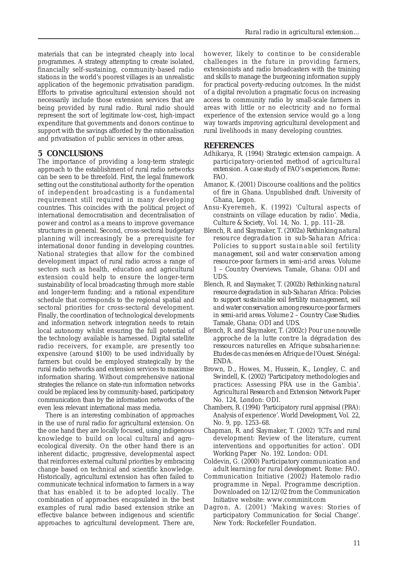materials that can be integrated cheaply into local programmes. A strategy attempting to create isolated, financially self-sustaining, community-based radio stations in the world's poorest villages is an unrealistic application of the hegemonic privatisation paradigm. Efforts to privatise agricultural extension should not necessarily include those extension services that are being provided by rural radio. Rural radio should represent the sort of legitimate low-cost, high-impact expenditure that governments and donors continue to support with the savings afforded by the rationalisation and privatisation of public services in other areas.

## **5 CONCLUSIONS**

The importance of providing a long-term strategic approach to the establishment of rural radio networks can be seen to be threefold. First, the legal framework setting out the constitutional authority for the operation of independent broadcasting is a fundamental requirement still required in many developing countries. This coincides with the political project of international democratisation and decentralisation of power and control as a means to improve governance structures in general. Second, cross-sectoral budgetary planning will increasingly be a prerequisite for international donor funding in developing countries. National strategies that allow for the combined development impact of rural radio across a range of sectors such as health, education and agricultural extension could help to ensure the longer-term sustainability of local broadcasting through more stable and longer-term funding; and a rational expenditure schedule that corresponds to the regional spatial and sectoral priorities for cross-sectoral development. Finally, the coordination of technological developments and information network integration needs to retain local autonomy whilst ensuring the full potential of the technology available is harnessed. Digital satellite radio receivers, for example, are presently too expensive (around \$100) to be used individually by farmers but could be employed strategically by the rural radio networks and extension services to maximise information sharing. Without comprehensive national strategies the reliance on state-run information networks could be replaced less by community-based, participatory communication than by the information networks of the even less relevant international mass media.

There is an interesting combination of approaches in the use of rural radio for agricultural extension. On the one hand they are locally focused, using indigenous knowledge to build on local cultural and agroecological diversity. On the other hand there is an inherent didactic, progressive, developmental aspect that reinforces external cultural priorities by embracing change based on technical and scientific knowledge. Historically, agricultural extension has often failed to communicate technical information to farmers in a way that has enabled it to be adopted locally. The combination of approaches encapsulated in the best examples of rural radio based extension strike an effective balance between indigenous and scientific approaches to agricultural development. There are,

however, likely to continue to be considerable challenges in the future in providing farmers, extensionists and radio broadcasters with the training and skills to manage the burgeoning information supply for practical poverty-reducing outcomes. In the midst of a digital revolution a pragmatic focus on increasing access to community radio by small-scale farmers in areas with little or no electricity and no formal experience of the extension service would go a long way towards improving agricultural development and rural livelihoods in many developing countries.

## **REFERENCES**

- Adhikarya, R. (1994) *Strategic extension campaign. A participatory-oriented method of agricultural extension. A case study of FAO's experiences*. Rome: FAO.
- Amanor, K. (2001) Discourse coalitions and the politics of fire in Ghana. Unpublished draft. University of Ghana, Legon.
- Ansu-Kyeremeh, K. (1992) 'Cultural aspects of constraints on village education by radio'. *Media, Culture & Society*, Vol. 14, No. 1, pp. 111–28.
- Blench, R. and Slaymaker, T. (2002a) *Rethinking natural resource degradation in sub-Saharan Africa: Policies to support sustainable soil fertility management, soil and water conservation among resource-poor farmers in semi-arid areas. Volume 1 – Country Overviews*. Tamale, Ghana: ODI and UDS.
- Blench, R. and Slaymaker, T. (2002b) *Rethinking natural resource degradation in sub-Saharan Africa: Policies to support sustainable soil fertility management, soil and water conservation among resource-poor farmers in semi-arid areas. Volume 2 – Country Case Studies*. Tamale, Ghana: ODI and UDS.
- Blench, R. and Slaymaker, T. (2002c) *Pour une nouvelle approche de la lutte contre la dégradation des ressources naturelles en Afrique subsaharienne: Etudes de cas menées en Afrique de l'Ouest*. Sénégal: ENDA.
- Brown, D., Howes, M., Hussein, K., Longley, C. and Swindell, K. (2002) *'*Participatory methodologies and practices: Assessing PRA use in the Gambia'. *Agricultural Research and Extension Network Paper* No. 124, London: ODI.
- Chambers, R. (1994) 'Participatory rural appraisal (PRA): Analysis of experience'. *World Development*, Vol. 22, No. 9, pp. 1253–68.
- Chapman, R. and Slaymaker, T. (2002) 'ICTs and rural development: Review of the literature, current interventions and opportunities for action'. *ODI Working Paper* No. 192. London: ODI.
- Coldevin, G. (2000) *Participatory communication and adult learning for rural development*. Rome: FAO.
- Communication Initiative (2002) *Hatemolo radio programme in Nepal. Programme description*. Downloaded on 12/12/02 from the Communication Initiative website: www.comminit.com
- Dagron, A. (2001) 'Making waves: Stories of participatory Communication for Social Change'. New York: Rockefeller Foundation.